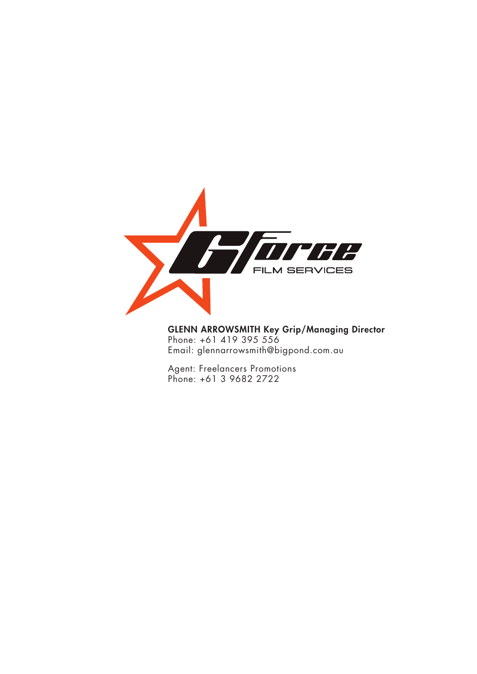

GLENN ARROWSMITH Key Grip/Managing Director Phone: +61 419 395 556 Email: glennarrowsmith@bigpond.com.au

Agent: Freelancers Promotions Phone: +61 3 9682 2722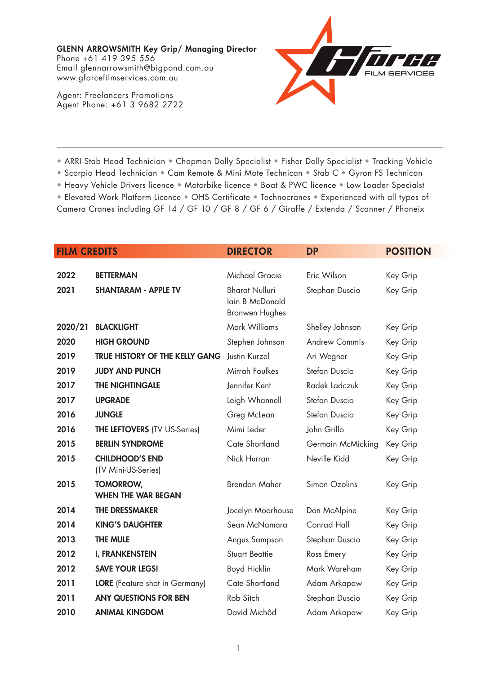Agent: Freelancers Promotions Agent Phone: +61 3 9682 2722



• ARRI Stab Head Technician • Chapman Dolly Specialist • Fisher Dolly Specialist • Tracking Vehicle

• Scorpio Head Technician • Cam Remote & Mini Mote Technican • Stab C • Gyron FS Technican

• Heavy Vehicle Drivers licence • Motorbike licence • Boat & PWC licence • Low Loader Specialst

• Elevated Work Platform Licence • OHS Certificate • Technocranes • Experienced with all types of Camera Cranes including GF 14 / GF 10 / GF 8 / GF 6 / Giraffe / Extenda / Scanner / Phoneix

| <b>FILM CREDITS</b> |                                               | <b>DIRECTOR</b>                                                   | <b>DP</b>            | <b>POSITION</b> |
|---------------------|-----------------------------------------------|-------------------------------------------------------------------|----------------------|-----------------|
| 2022                | <b>BETTERMAN</b>                              | <b>Michael Gracie</b>                                             | Eric Wilson          | Key Grip        |
| 2021                | <b>SHANTARAM - APPLE TV</b>                   | <b>Bharat Nulluri</b><br>lain B McDonald<br><b>Bronwen Hughes</b> | Stephan Duscio       | Key Grip        |
| 2020/21             | <b>BLACKLIGHT</b>                             | Mark Williams                                                     | Shelley Johnson      | Key Grip        |
| 2020                | <b>HIGH GROUND</b>                            | Stephen Johnson                                                   | <b>Andrew Commis</b> | Key Grip        |
| 2019                | <b>TRUE HISTORY OF THE KELLY GANG</b>         | Justin Kurzel                                                     | Ari Wegner           | Key Grip        |
| 2019                | <b>JUDY AND PUNCH</b>                         | Mirrah Foulkes                                                    | Stefan Duscio        | Key Grip        |
| 2017                | THE NIGHTINGALE                               | Jennifer Kent                                                     | Radek Ladczuk        | Key Grip        |
| 2017                | <b>UPGRADE</b>                                | Leigh Whannell                                                    | Stefan Duscio        | Key Grip        |
| 2016                | <b>JUNGLE</b>                                 | Greg McLean                                                       | Stefan Duscio        | Key Grip        |
| 2016                | <b>THE LEFTOVERS (TV US-Series)</b>           | Mimi Leder                                                        | John Grillo          | Key Grip        |
| 2015                | <b>BERLIN SYNDROME</b>                        | Cate Shortland                                                    | Germain McMicking    | Key Grip        |
| 2015                | <b>CHILDHOOD'S END</b><br>(TV Mini-US-Series) | Nick Hurran                                                       | Neville Kidd         | Key Grip        |
| 2015                | <b>TOMORROW,</b><br><b>WHEN THE WAR BEGAN</b> | <b>Brendan Maher</b>                                              | Simon Ozolins        | Key Grip        |
| 2014                | <b>THE DRESSMAKER</b>                         | Jocelyn Moorhouse                                                 | Don McAlpine         | Key Grip        |
| 2014                | <b>KING'S DAUGHTER</b>                        | Sean McNamara                                                     | Conrad Hall          | Key Grip        |
| 2013                | <b>THE MULE</b>                               | Angus Sampson                                                     | Stephan Duscio       | Key Grip        |
| 2012                | <b>I, FRANKENSTEIN</b>                        | <b>Stuart Beattie</b>                                             | Ross Emery           | Key Grip        |
| 2012                | <b>SAVE YOUR LEGS!</b>                        | Boyd Hicklin                                                      | Mark Wareham         | Key Grip        |
| 2011                | <b>LORE</b> (Feature shot in Germany)         | Cate Shortland                                                    | Adam Arkapaw         | Key Grip        |
| 2011                | <b>ANY QUESTIONS FOR BEN</b>                  | Rob Sitch                                                         | Stephan Duscio       | Key Grip        |
| 2010                | <b>ANIMAL KINGDOM</b>                         | David Michôd                                                      | Adam Arkapaw         | Key Grip        |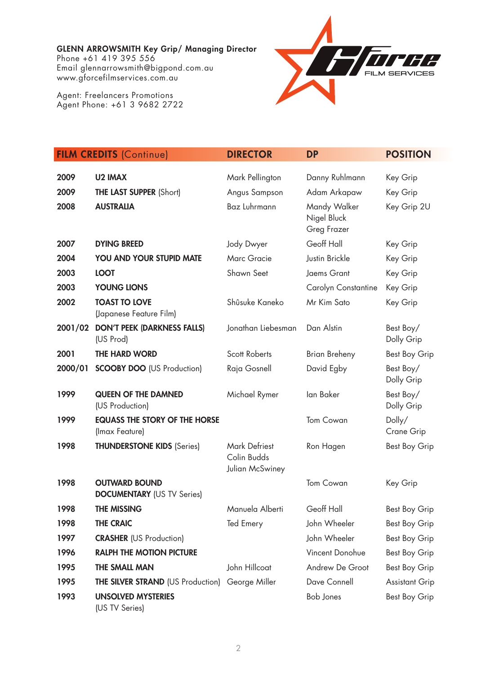Agent: Freelancers Promotions Agent Phone: +61 3 9682 2722



|         | <b>FILM CREDITS (Continue)</b>                            | <b>DIRECTOR</b>                                        | <b>DP</b>                                  | <b>POSITION</b>         |
|---------|-----------------------------------------------------------|--------------------------------------------------------|--------------------------------------------|-------------------------|
|         |                                                           |                                                        |                                            |                         |
| 2009    | <b>U2 IMAX</b>                                            | Mark Pellington                                        | Danny Ruhlmann                             | Key Grip                |
| 2009    | <b>THE LAST SUPPER (Short)</b>                            | Angus Sampson                                          | Adam Arkapaw                               | Key Grip                |
| 2008    | <b>AUSTRALIA</b>                                          | Baz Luhrmann                                           | Mandy Walker<br>Nigel Bluck<br>Greg Frazer | Key Grip 2U             |
| 2007    | <b>DYING BREED</b>                                        | Jody Dwyer                                             | Geoff Hall                                 | Key Grip                |
| 2004    | YOU AND YOUR STUPID MATE                                  | <b>Marc Gracie</b>                                     | Justin Brickle                             | Key Grip                |
| 2003    | <b>LOOT</b>                                               | Shawn Seet                                             | Jaems Grant                                | Key Grip                |
| 2003    | <b>YOUNG LIONS</b>                                        |                                                        | Carolyn Constantine                        | Key Grip                |
| 2002    | <b>TOAST TO LOVE</b><br>(Japanese Feature Film)           | Shûsuke Kaneko                                         | Mr Kim Sato                                | Key Grip                |
| 2001/02 | <b>DON'T PEEK (DARKNESS FALLS)</b><br>(US Prod)           | Jonathan Liebesman                                     | Dan Alstin                                 | Best Boy/<br>Dolly Grip |
| 2001    | <b>THE HARD WORD</b>                                      | <b>Scott Roberts</b>                                   | <b>Brian Breheny</b>                       | <b>Best Boy Grip</b>    |
| 2000/01 | <b>SCOOBY DOO (US Production)</b>                         | Raja Gosnell                                           | David Egby                                 | Best Boy/<br>Dolly Grip |
| 1999    | <b>QUEEN OF THE DAMNED</b><br>(US Production)             | Michael Rymer                                          | lan Baker                                  | Best Boy/<br>Dolly Grip |
| 1999    | <b>EQUASS THE STORY OF THE HORSE</b><br>(Imax Feature)    |                                                        | Tom Cowan                                  | Dolly/<br>Crane Grip    |
| 1998    | <b>THUNDERSTONE KIDS (Series)</b>                         | <b>Mark Defriest</b><br>Colin Budds<br>Julian McSwiney | Ron Hagen                                  | <b>Best Boy Grip</b>    |
| 1998    | <b>OUTWARD BOUND</b><br><b>DOCUMENTARY</b> (US TV Series) |                                                        | <b>Tom Cowan</b>                           | Key Grip                |
| 1998    | <b>THE MISSING</b>                                        | Manuela Alberti                                        | Geoff Hall                                 | Best Boy Grip           |
| 1998    | <b>THE CRAIC</b>                                          | Ted Emery                                              | John Wheeler                               | Best Boy Grip           |
| 1997    | <b>CRASHER (US Production)</b>                            |                                                        | John Wheeler                               | Best Boy Grip           |
| 1996    | <b>RALPH THE MOTION PICTURE</b>                           |                                                        | Vincent Donohue                            | Best Boy Grip           |
| 1995    | THE SMALL MAN                                             | John Hillcoat                                          | Andrew De Groot                            | Best Boy Grip           |
| 1995    | <b>THE SILVER STRAND (US Production) George Miller</b>    |                                                        | Dave Connell                               | <b>Assistant Grip</b>   |
| 1993    | <b>UNSOLVED MYSTERIES</b>                                 |                                                        | <b>Bob Jones</b>                           | Best Boy Grip           |

(US TV Series)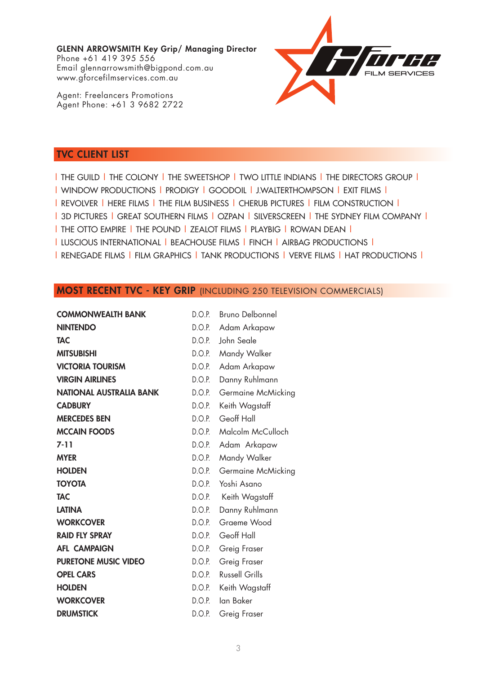Agent: Freelancers Promotions Agent Phone: +61 3 9682 2722



## TVC CLIENT LIST

| THE GUILD | THE COLONY | THE SWEETSHOP | TWO LITTLE INDIANS | THE DIRECTORS GROUP | | WINDOW PRODUCTIONS | PRODIGY | GOODOIL | J.WALTERTHOMPSON | EXIT FILMS | | REVOLVER | HERE FILMS | THE FILM BUSINESS | CHERUB PICTURES | FILM CONSTRUCTION | | 3D PICTURES | GREAT SOUTHERN FILMS | OZPAN | SILVERSCREEN | THE SYDNEY FILM COMPANY | | THE OTTO EMPIRE | THE POUND | ZEALOT FILMS | PLAYBIG | ROWAN DEAN | | LUSCIOUS INTERNATIONAL | BEACHOUSE FILMS | FINCH | AIRBAG PRODUCTIONS | | RENEGADE FILMS | FILM GRAPHICS | TANK PRODUCTIONS | VERVE FILMS | HAT PRODUCTIONS |

#### MOST RECENT TVC - KEY GRIP (INCLUDING 250 TELEVISION COMMERCIALS)

| <b>COMMONWEALTH BANK</b>       | D.O.P. | <b>Bruno Delbonnel</b> |
|--------------------------------|--------|------------------------|
| <b>NINTENDO</b>                | D.O.P. | Adam Arkapaw           |
| <b>TAC</b>                     | D.O.P. | John Seale             |
| <b>MITSUBISHI</b>              | D.O.P. | Mandy Walker           |
| <b>VICTORIA TOURISM</b>        | D.O.P. | Adam Arkapaw           |
| <b>VIRGIN AIRLINES</b>         | D.O.P. | Danny Ruhlmann         |
| <b>NATIONAL AUSTRALIA BANK</b> | D.O.P. | Germaine McMicking     |
| <b>CADBURY</b>                 | D.O.P. | Keith Wagstaff         |
| <b>MERCEDES BEN</b>            | D.O.P. | Geoff Hall             |
| <b>MCCAIN FOODS</b>            | D.O.P. | Malcolm McCulloch      |
| $7 - 11$                       | D.O.P. | Adam Arkapaw           |
| <b>MYER</b>                    | D.O.P. | Mandy Walker           |
| <b>HOLDEN</b>                  | D.O.P. | Germaine McMicking     |
| <b>TOYOTA</b>                  | D.O.P. | Yoshi Asano            |
| <b>TAC</b>                     | D.O.P. | Keith Wagstaff         |
| <b>LATINA</b>                  | D.O.P. | Danny Ruhlmann         |
| <b>WORKCOVER</b>               | D.O.P. | Graeme Wood            |
| <b>RAID FLY SPRAY</b>          | D.O.P. | Geoff Hall             |
| <b>AFL CAMPAIGN</b>            | D.O.P. | Greig Fraser           |
| <b>PURETONE MUSIC VIDEO</b>    | D.O.P. | Greig Fraser           |
| <b>OPEL CARS</b>               | D.O.P. | <b>Russell Grills</b>  |
| <b>HOLDEN</b>                  | D.O.P. | Keith Wagstaff         |
| <b>WORKCOVER</b>               | D.O.P. | lan Baker              |
| <b>DRUMSTICK</b>               | D.O.P. | Greig Fraser           |